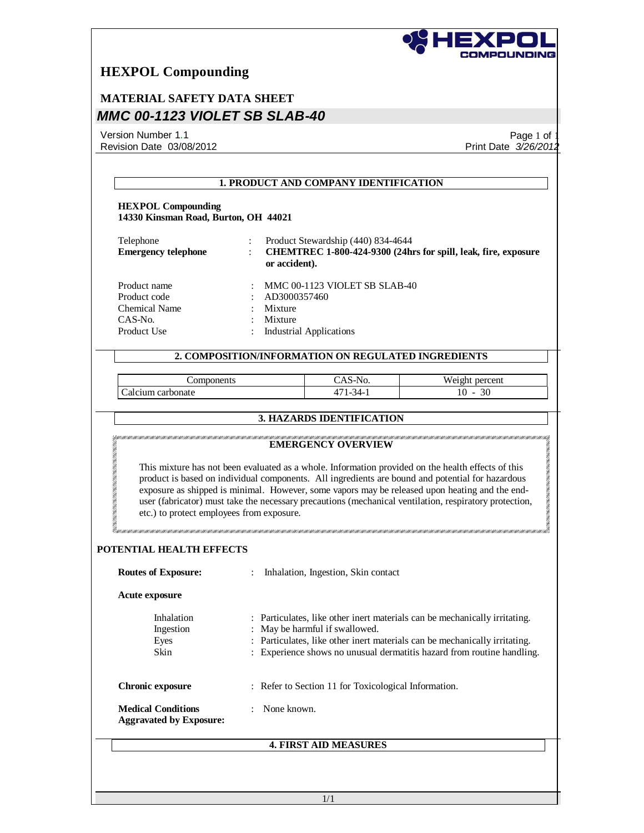

# **MATERIAL SAFETY DATA SHEET** *MMC 00-1123 VIOLET SB SLAB-40*

Version Number 1.1 Revision Date 03/08/2012

Page 1 of 1 Print Date *3/26/2012*

| <b>HEXPOL Compounding</b><br>14330 Kinsman Road, Burton, OH 44021              |                                    |                                                                 |                                                                                                                                                                                                                                                                                                                                                                                                                    |
|--------------------------------------------------------------------------------|------------------------------------|-----------------------------------------------------------------|--------------------------------------------------------------------------------------------------------------------------------------------------------------------------------------------------------------------------------------------------------------------------------------------------------------------------------------------------------------------------------------------------------------------|
| Telephone<br><b>Emergency telephone</b>                                        | or accident).                      | Product Stewardship (440) 834-4644                              | CHEMTREC 1-800-424-9300 (24hrs for spill, leak, fire, exposure                                                                                                                                                                                                                                                                                                                                                     |
| Product name<br>Product code<br><b>Chemical Name</b><br>CAS-No.<br>Product Use | AD3000357460<br>Mixture<br>Mixture | MMC 00-1123 VIOLET SB SLAB-40<br><b>Industrial Applications</b> |                                                                                                                                                                                                                                                                                                                                                                                                                    |
|                                                                                |                                    |                                                                 |                                                                                                                                                                                                                                                                                                                                                                                                                    |
|                                                                                |                                    | 2. COMPOSITION/INFORMATION ON REGULATED INGREDIENTS             |                                                                                                                                                                                                                                                                                                                                                                                                                    |
| Components<br>Calcium carbonate                                                |                                    | CAS-No.<br>471-34-1                                             | Weight percent<br>$10 - 30$                                                                                                                                                                                                                                                                                                                                                                                        |
|                                                                                |                                    | 3. HAZARDS IDENTIFICATION                                       |                                                                                                                                                                                                                                                                                                                                                                                                                    |
|                                                                                |                                    | <b>EMERGENCY OVERVIEW</b>                                       | This mixture has not been evaluated as a whole. Information provided on the health effects of this<br>product is based on individual components. All ingredients are bound and potential for hazardous<br>exposure as shipped is minimal. However, some vapors may be released upon heating and the end-<br>user (fabricator) must take the necessary precautions (mechanical ventilation, respiratory protection, |
| etc.) to protect employees from exposure.<br>POTENTIAL HEALTH EFFECTS          |                                    |                                                                 |                                                                                                                                                                                                                                                                                                                                                                                                                    |
| <b>Routes of Exposure:</b>                                                     | $\ddot{\phantom{a}}$               | Inhalation, Ingestion, Skin contact                             |                                                                                                                                                                                                                                                                                                                                                                                                                    |
| Acute exposure<br>Inhalation<br>Ingestion<br>Eyes<br>Skin                      |                                    | : May be harmful if swallowed.                                  | : Particulates, like other inert materials can be mechanically irritating.<br>: Particulates, like other inert materials can be mechanically irritating.                                                                                                                                                                                                                                                           |
| <b>Chronic exposure</b>                                                        |                                    | : Refer to Section 11 for Toxicological Information.            | : Experience shows no unusual dermatitis hazard from routine handling.                                                                                                                                                                                                                                                                                                                                             |
| <b>Medical Conditions</b><br><b>Aggravated by Exposure:</b>                    | None known.<br>÷                   |                                                                 |                                                                                                                                                                                                                                                                                                                                                                                                                    |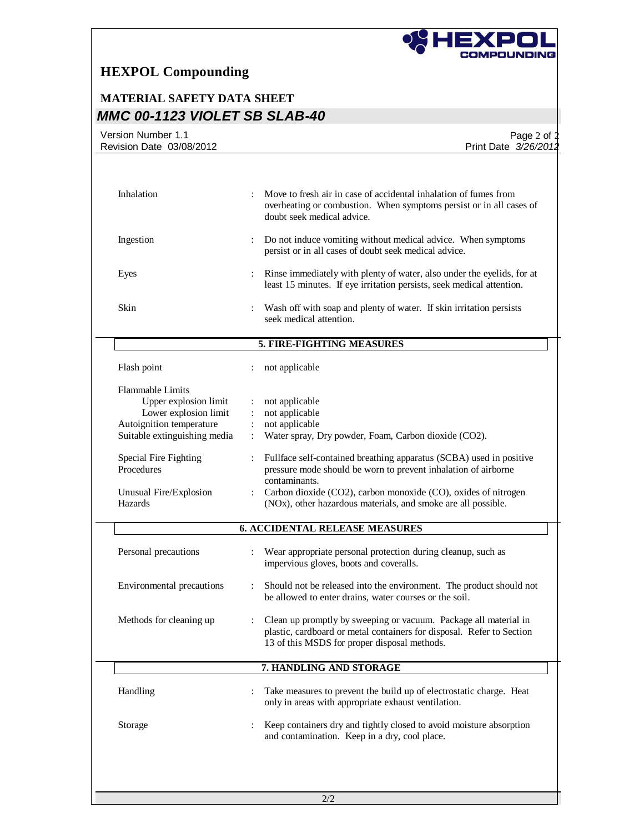

# **MATERIAL SAFETY DATA SHEET** *MMC 00-1123 VIOLET SB SLAB-40*

| Revision Date 03/08/2012                                                                                                              | Page 2 of $\ddagger$<br>Print Date 3/26/2012                                                                                                                                              |
|---------------------------------------------------------------------------------------------------------------------------------------|-------------------------------------------------------------------------------------------------------------------------------------------------------------------------------------------|
|                                                                                                                                       |                                                                                                                                                                                           |
| Inhalation                                                                                                                            | Move to fresh air in case of accidental inhalation of fumes from<br>overheating or combustion. When symptoms persist or in all cases of<br>doubt seek medical advice.                     |
| Ingestion                                                                                                                             | Do not induce vomiting without medical advice. When symptoms<br>persist or in all cases of doubt seek medical advice.                                                                     |
| Eyes                                                                                                                                  | Rinse immediately with plenty of water, also under the eyelids, for at<br>least 15 minutes. If eye irritation persists, seek medical attention.                                           |
| Skin                                                                                                                                  | Wash off with soap and plenty of water. If skin irritation persists<br>seek medical attention.                                                                                            |
|                                                                                                                                       | 5. FIRE-FIGHTING MEASURES                                                                                                                                                                 |
| Flash point                                                                                                                           | not applicable                                                                                                                                                                            |
| <b>Flammable Limits</b><br>Upper explosion limit<br>Lower explosion limit<br>Autoignition temperature<br>Suitable extinguishing media | not applicable<br>not applicable<br>not applicable<br>Water spray, Dry powder, Foam, Carbon dioxide (CO2).                                                                                |
| Special Fire Fighting<br>Procedures                                                                                                   | Fullface self-contained breathing apparatus (SCBA) used in positive<br>pressure mode should be worn to prevent inhalation of airborne<br>contaminants.                                    |
| Unusual Fire/Explosion<br>Hazards                                                                                                     | Carbon dioxide (CO2), carbon monoxide (CO), oxides of nitrogen<br>(NOx), other hazardous materials, and smoke are all possible.                                                           |
|                                                                                                                                       | <b>6. ACCIDENTAL RELEASE MEASURES</b>                                                                                                                                                     |
| Personal precautions                                                                                                                  | Wear appropriate personal protection during cleanup, such as<br>impervious gloves, boots and coveralls.                                                                                   |
| Environmental precautions                                                                                                             | Should not be released into the environment. The product should not<br>be allowed to enter drains, water courses or the soil.                                                             |
| Methods for cleaning up                                                                                                               | Clean up promptly by sweeping or vacuum. Package all material in<br>plastic, cardboard or metal containers for disposal. Refer to Section<br>13 of this MSDS for proper disposal methods. |
|                                                                                                                                       | 7. HANDLING AND STORAGE                                                                                                                                                                   |
| Handling                                                                                                                              | Take measures to prevent the build up of electrostatic charge. Heat<br>only in areas with appropriate exhaust ventilation.                                                                |
| Storage                                                                                                                               | Keep containers dry and tightly closed to avoid moisture absorption<br>and contamination. Keep in a dry, cool place.                                                                      |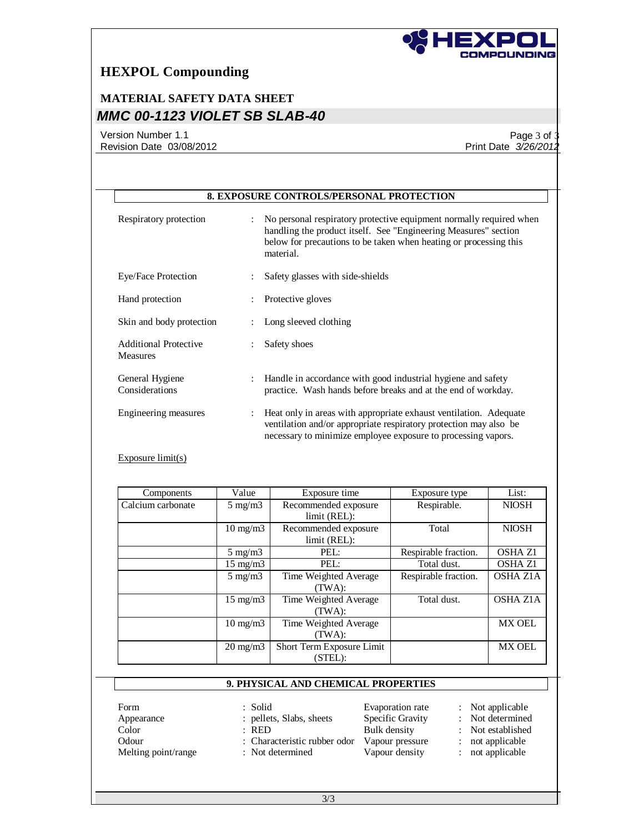

# **MATERIAL SAFETY DATA SHEET** *MMC 00-1123 VIOLET SB SLAB-40*

Version Number 1.1 Revision Date 03/08/2012

Page 3 of 3 Print Date *3/26/2012*

|                                                 | <b>8. EXPOSURE CONTROLS/PERSONAL PROTECTION</b>                                                                                                                                                                          |
|-------------------------------------------------|--------------------------------------------------------------------------------------------------------------------------------------------------------------------------------------------------------------------------|
| Respiratory protection                          | No personal respiratory protective equipment normally required when<br>handling the product itself. See "Engineering Measures" section<br>below for precautions to be taken when heating or processing this<br>material. |
| Eye/Face Protection                             | Safety glasses with side-shields                                                                                                                                                                                         |
| Hand protection                                 | Protective gloves                                                                                                                                                                                                        |
| Skin and body protection                        | Long sleeved clothing                                                                                                                                                                                                    |
| <b>Additional Protective</b><br><b>Measures</b> | Safety shoes                                                                                                                                                                                                             |
| General Hygiene<br>Considerations               | Handle in accordance with good industrial hygiene and safety<br>practice. Wash hands before breaks and at the end of workday.                                                                                            |
| Engineering measures                            | Heat only in areas with appropriate exhaust ventilation. Adequate<br>ventilation and/or appropriate respiratory protection may also be<br>necessary to minimize employee exposure to processing vapors.                  |

#### Exposure limit(s)

| Components        | Value             | Exposure time                        | Exposure type        | List:           |
|-------------------|-------------------|--------------------------------------|----------------------|-----------------|
| Calcium carbonate | $5 \text{ mg/m}$  | Recommended exposure<br>limit (REL): | Respirable.          | <b>NIOSH</b>    |
|                   | $10 \text{ mg/m}$ | Recommended exposure<br>limit (REL): | Total                | <b>NIOSH</b>    |
|                   | $5 \text{ mg/m}$  | PEL:                                 | Respirable fraction. | <b>OSHA Z1</b>  |
|                   | $15 \text{ mg/m}$ | PEL:                                 | Total dust.          | <b>OSHA Z1</b>  |
|                   | $5 \text{ mg/m}$  | Time Weighted Average<br>(TWA):      | Respirable fraction. | <b>OSHA Z1A</b> |
|                   | $15 \text{ mg/m}$ | Time Weighted Average<br>(TWA):      | Total dust.          | <b>OSHA Z1A</b> |
|                   | $10 \text{ mg/m}$ | Time Weighted Average<br>(TWA):      |                      | <b>MX OEL</b>   |
|                   | $20 \text{ mg/m}$ | Short Term Exposure Limit<br>(STEL): |                      | <b>MX OEL</b>   |

### **9. PHYSICAL AND CHEMICAL PROPERTIES**

Form : Solid Evaporation rate : Not applicable<br>
Appearance : pellets, Slabs, sheets Specific Gravity : Not determined Appearance : pellets, Slabs, sheets Specific Gravity<br>Color : RED Bulk density Odour : Characteristic rubber odor Vapour pressure : not applicable<br>
Melting point/range : Not determined Vapour density : not applicable Melting point/range : Not determined Vapour density :

Bulk density : Not established<br>Vapour pressure : not applicable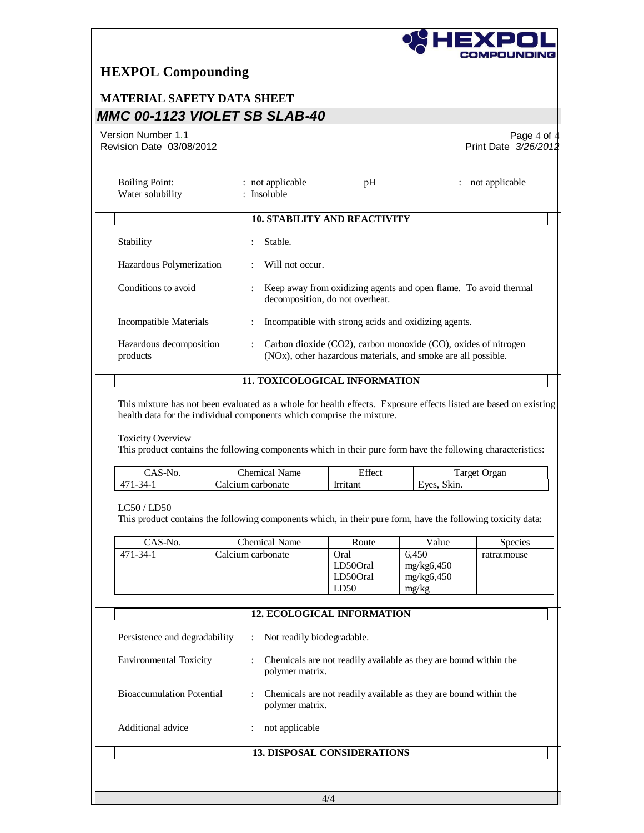

## **MATERIAL SAFETY DATA SHEET** *MMC 00-1123 VIOLET SB SLAB-40*

Version Number 1.1 Revision Date 03/08/2012

Page 4 of  $4$ Print Date *3/26/2012*

| <b>Boiling Point:</b><br>Water solubility |                      | : not applicable<br>: Insoluble | pH                                                                         | : not applicable                                                 |  |
|-------------------------------------------|----------------------|---------------------------------|----------------------------------------------------------------------------|------------------------------------------------------------------|--|
|                                           |                      |                                 | <b>10. STABILITY AND REACTIVITY</b>                                        |                                                                  |  |
| Stability                                 |                      | Stable.                         |                                                                            |                                                                  |  |
| Hazardous Polymerization                  |                      | Will not occur.                 |                                                                            |                                                                  |  |
| Conditions to avoid                       |                      | decomposition, do not overheat. |                                                                            | Keep away from oxidizing agents and open flame. To avoid thermal |  |
| Incompatible Materials                    |                      |                                 | Incompatible with strong acids and oxidizing agents.                       |                                                                  |  |
| Hazardous decomposition<br>products       | $\ddot{\phantom{0}}$ |                                 | (NO <sub>x</sub> ), other hazardous materials, and smoke are all possible. | Carbon dioxide (CO2), carbon monoxide (CO), oxides of nitrogen   |  |
|                                           |                      |                                 | <b>11. TOXICOLOGICAL INFORMATION</b>                                       |                                                                  |  |

This mixture has not been evaluated as a whole for health effects. Exposure effects listed are based on existing health data for the individual components which comprise the mixture.

#### **Toxicity Overview**

This product contains the following components which in their pure form have the following characteristics:

| $\mathbf{v}$                                      | $\sim$<br>hemical_<br>Name | $\Gamma$ $\alpha$<br>±ffect | rarget i<br>Jrgan |
|---------------------------------------------------|----------------------------|-----------------------------|-------------------|
| $\overline{ }$<br>-که<br>$\overline{\phantom{0}}$ | . carbonate<br>alcium      | <b>trutant</b>              | Skin.<br>Eves.    |

LC50 / LD50

This product contains the following components which, in their pure form, have the following toxicity data:

| CAS-No.  | Chemical Name     | Route    | Value      | <b>Species</b> |
|----------|-------------------|----------|------------|----------------|
| 471-34-1 | Calcium carbonate | Oral     | 6.450      | ratratmouse    |
|          |                   | LD500ral | mg/kg6,450 |                |
|          |                   | LD500ral | mg/kg6,450 |                |
|          |                   | LD50     | mg/kg      |                |

|                                  | <b>12. ECOLOGICAL INFORMATION</b>                                                   |
|----------------------------------|-------------------------------------------------------------------------------------|
| Persistence and degradability    | Not readily biodegradable.<br>$\ddot{\phantom{a}}$                                  |
| <b>Environmental Toxicity</b>    | Chemicals are not readily available as they are bound within the<br>polymer matrix. |
| <b>Bioaccumulation Potential</b> | Chemicals are not readily available as they are bound within the<br>polymer matrix. |
| Additional advice                | not applicable                                                                      |
|                                  | <b>13. DISPOSAL CONSIDERATIONS</b>                                                  |
|                                  |                                                                                     |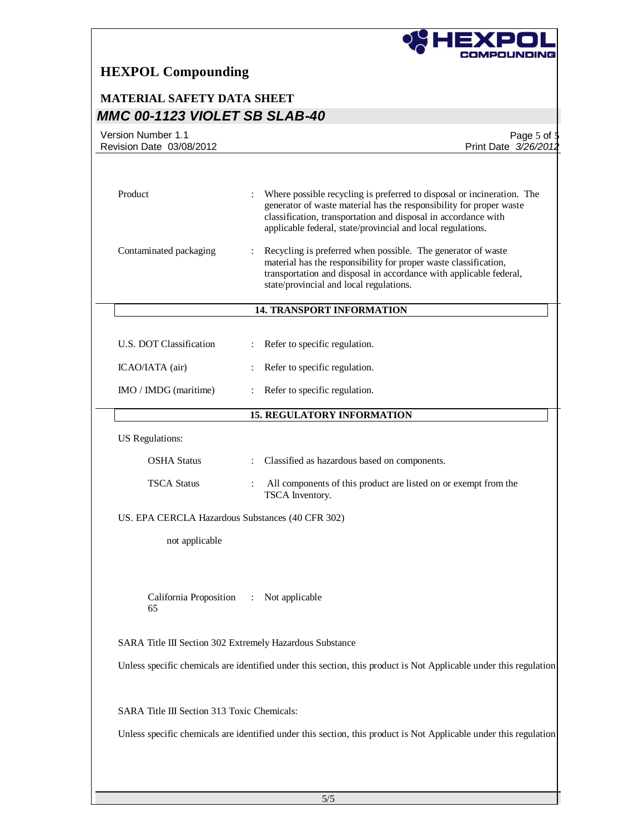

## **MATERIAL SAFETY DATA SHEET** *MMC 00-1123 VIOLET SB SLAB-40*

| Version Number 1.1<br>Revision Date 03/08/2012           | Page 5 of \$<br>Print Date 3/26/2012                                                                                                                                                                                                                                           |
|----------------------------------------------------------|--------------------------------------------------------------------------------------------------------------------------------------------------------------------------------------------------------------------------------------------------------------------------------|
|                                                          |                                                                                                                                                                                                                                                                                |
| Product                                                  | Where possible recycling is preferred to disposal or incineration. The<br>generator of waste material has the responsibility for proper waste<br>classification, transportation and disposal in accordance with<br>applicable federal, state/provincial and local regulations. |
| Contaminated packaging                                   | Recycling is preferred when possible. The generator of waste<br>material has the responsibility for proper waste classification,<br>transportation and disposal in accordance with applicable federal,<br>state/provincial and local regulations.                              |
|                                                          | <b>14. TRANSPORT INFORMATION</b>                                                                                                                                                                                                                                               |
| U.S. DOT Classification                                  | Refer to specific regulation.                                                                                                                                                                                                                                                  |
| ICAO/IATA (air)                                          | Refer to specific regulation.                                                                                                                                                                                                                                                  |
| IMO / IMDG (maritime)                                    | Refer to specific regulation.                                                                                                                                                                                                                                                  |
|                                                          | <b>15. REGULATORY INFORMATION</b>                                                                                                                                                                                                                                              |
| <b>US</b> Regulations:                                   |                                                                                                                                                                                                                                                                                |
| <b>OSHA Status</b>                                       | : Classified as hazardous based on components.                                                                                                                                                                                                                                 |
| <b>TSCA Status</b>                                       | All components of this product are listed on or exempt from the<br>TSCA Inventory.                                                                                                                                                                                             |
| US. EPA CERCLA Hazardous Substances (40 CFR 302)         |                                                                                                                                                                                                                                                                                |
| not applicable                                           |                                                                                                                                                                                                                                                                                |
|                                                          |                                                                                                                                                                                                                                                                                |
| California Proposition<br>65                             | : Not applicable                                                                                                                                                                                                                                                               |
| SARA Title III Section 302 Extremely Hazardous Substance |                                                                                                                                                                                                                                                                                |
|                                                          | Unless specific chemicals are identified under this section, this product is Not Applicable under this regulation                                                                                                                                                              |
|                                                          |                                                                                                                                                                                                                                                                                |
| SARA Title III Section 313 Toxic Chemicals:              |                                                                                                                                                                                                                                                                                |
|                                                          | Unless specific chemicals are identified under this section, this product is Not Applicable under this regulation                                                                                                                                                              |
|                                                          |                                                                                                                                                                                                                                                                                |
|                                                          |                                                                                                                                                                                                                                                                                |